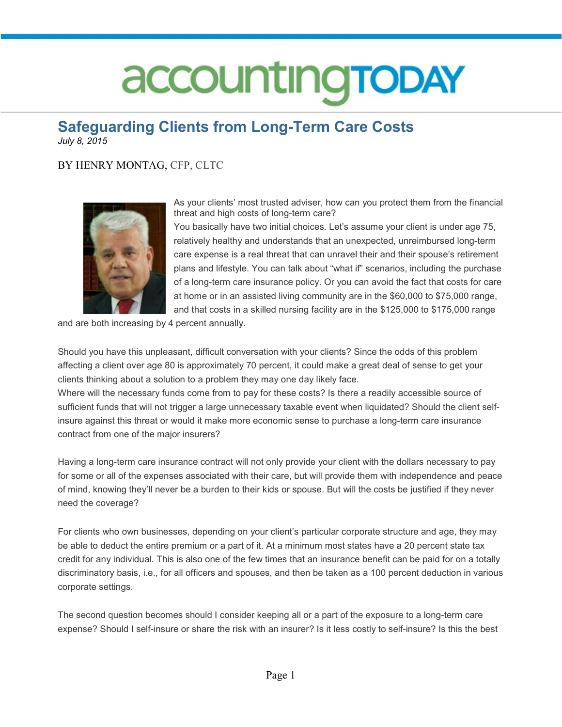### accountingTODAY

### **Safeguarding Clients from Long-Term Care Costs**

*July 8, 2015* 

#### BY HENRY MONTAG, CFP, CLTC



As your clients' most trusted adviser, how can you protect them from the financial threat and high costs of long-term care?

You basically have two initial choices. Let's assume your client is under age 75, relatively healthy and understands that an unexpected, unreimbursed long-term care expense is a real threat that can unravel their and their spouse's retirement plans and lifestyle. You can talk about "what if" scenarios, including the purchase of a long-term care insurance policy. Or you can avoid the fact that costs for care at home or in an assisted living community are in the \$60,000 to \$75,000 range, and that costs in a skilled nursing facility are in the \$125,000 to \$175,000 range

and are both increasing by 4 percent annually.

Should you have this unpleasant, difficult conversation with your clients? Since the odds of this problem affecting a client over age 80 is approximately 70 percent, it could make a great deal of sense to get your clients thinking about a solution to a problem they may one day likely face.

Where will the necessary funds come from to pay for these costs? Is there a readily accessible source of sufficient funds that will not trigger a large unnecessary taxable event when liquidated? Should the client selfinsure against this threat or would it make more economic sense to purchase a long-term care insurance contract from one of the major insurers?

Having a long-term care insurance contract will not only provide your client with the dollars necessary to pay for some or all of the expenses associated with their care, but will provide them with independence and peace of mind, knowing they'll never be a burden to their kids or spouse. But will the costs be justified if they never need the coverage?

For clients who own businesses, depending on your client's particular corporate structure and age, they may be able to deduct the entire premium or a part of it. At a minimum most states have a 20 percent state tax credit for any individual. This is also one of the few times that an insurance benefit can be paid for on a totally discriminatory basis, i.e., for all officers and spouses, and then be taken as a 100 percent deduction in various corporate settings.

The second question becomes should I consider keeping all or a part of the exposure to a long-term care expense? Should I self-insure or share the risk with an insurer? Is it less costly to self-insure? Is this the best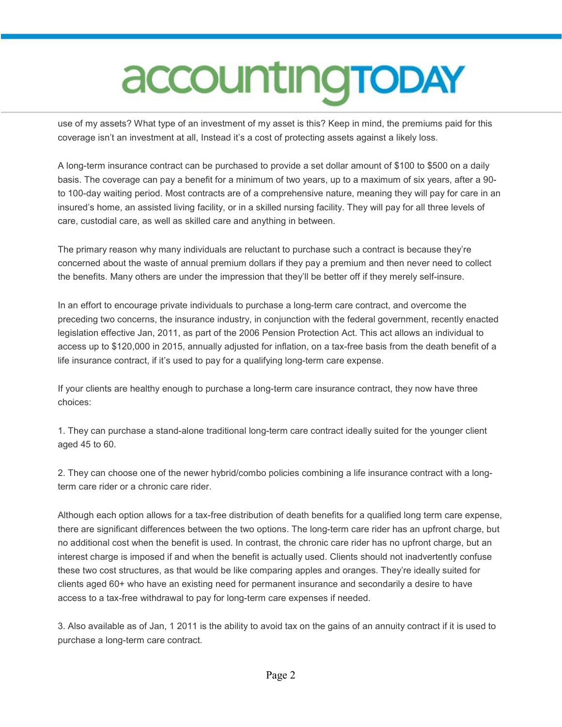# accounting TODAY

use of my assets? What type of an investment of my asset is this? Keep in mind, the premiums paid for this coverage isn't an investment at all, Instead it's a cost of protecting assets against a likely loss.

A long-term insurance contract can be purchased to provide a set dollar amount of \$100 to \$500 on a daily basis. The coverage can pay a benefit for a minimum of two years, up to a maximum of six years, after a 90 to 100-day waiting period. Most contracts are of a comprehensive nature, meaning they will pay for care in an insured's home, an assisted living facility, or in a skilled nursing facility. They will pay for all three levels of care, custodial care, as well as skilled care and anything in between.

The primary reason why many individuals are reluctant to purchase such a contract is because they're concerned about the waste of annual premium dollars if they pay a premium and then never need to collect the benefits. Many others are under the impression that they'll be better off if they merely self-insure.

In an effort to encourage private individuals to purchase a long-term care contract, and overcome the preceding two concerns, the insurance industry, in conjunction with the federal government, recently enacted legislation effective Jan, 2011, as part of the 2006 Pension Protection Act. This act allows an individual to access up to \$120,000 in 2015, annually adjusted for inflation, on a tax-free basis from the death benefit of a life insurance contract, if it's used to pay for a qualifying long-term care expense.

If your clients are healthy enough to purchase a long-term care insurance contract, they now have three choices:

1. They can purchase a stand-alone traditional long-term care contract ideally suited for the younger client aged 45 to 60.

2. They can choose one of the newer hybrid/combo policies combining a life insurance contract with a longterm care rider or a chronic care rider.

Although each option allows for a tax-free distribution of death benefits for a qualified long term care expense, there are significant differences between the two options. The long-term care rider has an upfront charge, but no additional cost when the benefit is used. In contrast, the chronic care rider has no upfront charge, but an interest charge is imposed if and when the benefit is actually used. Clients should not inadvertently confuse these two cost structures, as that would be like comparing apples and oranges. They're ideally suited for clients aged 60+ who have an existing need for permanent insurance and secondarily a desire to have access to a tax-free withdrawal to pay for long-term care expenses if needed.

3. Also available as of Jan, 1 2011 is the ability to avoid tax on the gains of an annuity contract if it is used to purchase a long-term care contract.